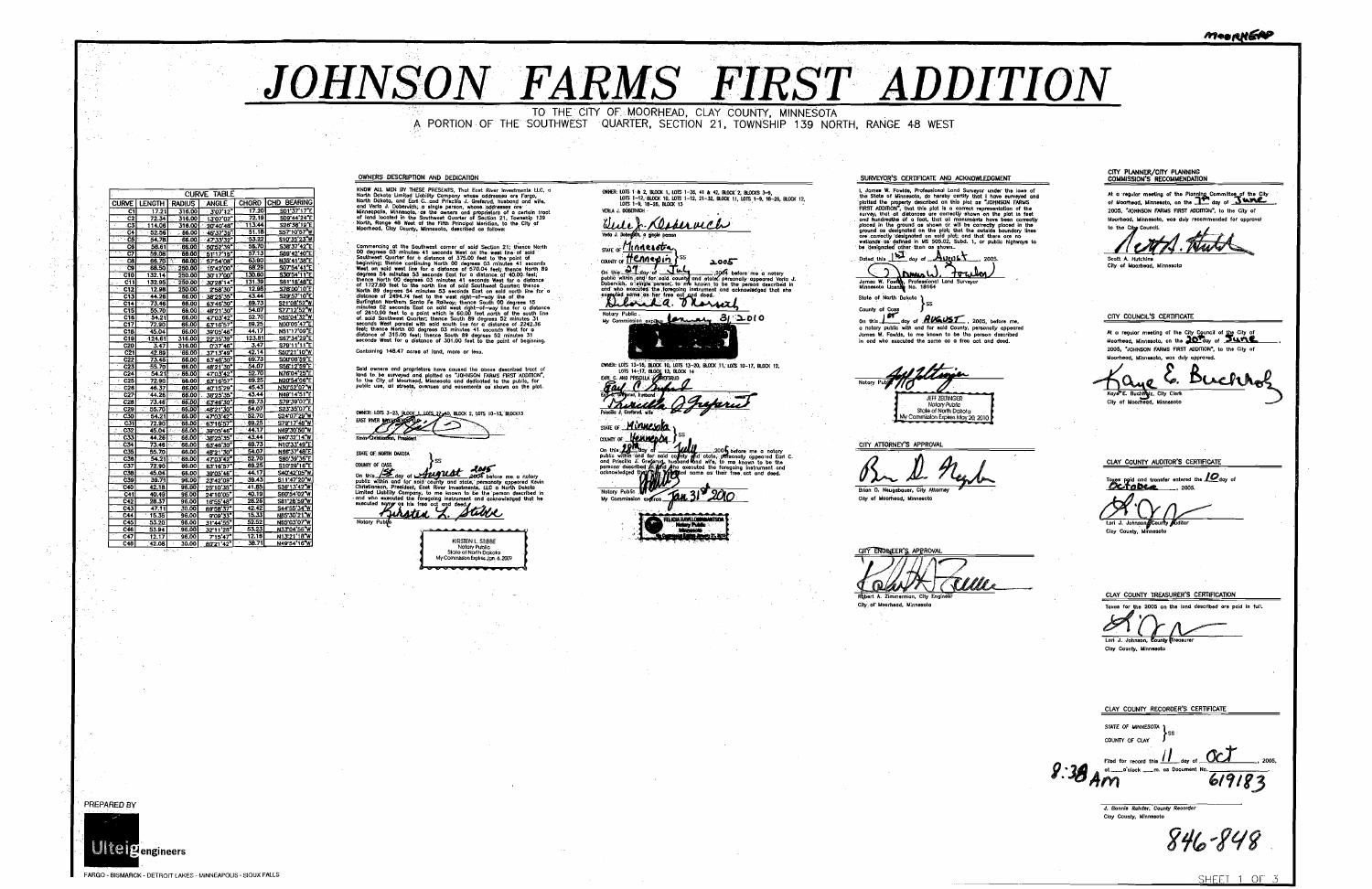## JOHNSON FARMS FIRST AI

TO THE CITY OF MOORHEAD. CLAY COUNTY, MINNESOTA A PORTION OF THE SOUTHWEST QUARTER, SECTION 21, TOWNSHIP 139 NORTH, RANGE 48 WEST

OWNERS DESCRIPTION AND DEDICATION

**CURVE TABLE** CURVE LENGTH PADIUS AND EXAMPLE CHORD CHD BEARING<br>
C1 17.21 316.00 30712 17.20 5013717<sup>F</sup><br>
C2 72.34 316.00 130702 72.19 5094424°E<br>
C3 114.05 316.00 20740'48° 113.34 526.36 66.00 4637325<br>
C6 54.78 66.00 4533'32 53.22 51035'  $\begin{array}{|c|c|c|c|c|}\hline 0 & 505239 \\ \hline 0 & 511735 \\ \hline 0 & 575408 \\ \hline \end{array}$ 338 37 42 40 E  $\begin{array}{|c|c|c|c|}\n\hline\n59.08 & 66.0 \\
\hline\n66.70 & 66.0\n\end{array}$ 

**KNOW ALL MEN BY THESE PRESENTS.** That East River Investments LLC, a North Dokota Limited Liberality Company winese addresses are Farga, North Dokota Limited Liberality Company winese addresses are invisibled U. The Minnea

Commensing at the Southwest commen of said Section 21; thence North Southwest 203 millions 4 is accounts West on the west line of said Newton Southwest Quarter these 4 is accounts to  $O_2$  comment of the them positions. W

Containing 148.47 acres of land, more or less.

Soid owners and praprietars have caused the obove described tract of<br>land to be surveyed and platted as "JOHNSON FARMS FIRST ADDITION",<br>to the City of Moarhead, Minnesota and dedicated to the public, for<br>public use, all di

OWNER: LOTS 3-23, ROCK 1, LOTS 27-00, BLOCK 2, LOTS 10-13, BLOCK13<br>EAST ROCK AND STREET COMPANY CONTROLLED AND RESERVED ON A SUBJECT OF LOTS OF SALES AND RESERVED ON A SUBJECT OF THE STREET OF STREET OF STREET OF STREET OF

STATE OF COUNTY OF CASS

COUNT of CASE of Manufacture of Manufacture and the COVID-<br>Contribution and for solid country and adds. personally appear<br>Christianson, President, East fiver investments, LLC a North District<br>United Unbility Company, to me personally appeared with

KIDSTEN I STIBBE KIRSIEN L. SIJBBE<br>- Notary Public<br>- State of North Dakota<br>- My Commission Explies Jan. 6, 2009 —————

OWNER: LOTS 1 & 2, BLOCK 1, LOTS 1-26, 41 & 42, BLOCK 2, BLOCKS 3-9,<br>LOTS 1-12, BLOCK 10, LOTS 1-12, 21-32, BLOCK 11, LOTS 1-9, 18-26, BLOCK 12,<br>LOTS 1-9, 18-26, BLOCK 13 <u> Due J. Deservich</u> /erla J. Dobegoch, a ginglé parson SINE or *Hinnesota*<br>
count or *Henneyin* > special contract the state of the state of the state of the state of the state of the state of the state of the state of the state of the state of the state of the state of the st

Notary Public.<br>Notary Public.<br>My Commission expires **for the dealership 31 2010** 

OWNER: LOTS 13-16, BLOCK 10, LOTS 13-20, BLOCK 11, LOTS 10-17, BLOCK 12,<br>LOTS 14-17, BLOCK 13, BLOCK 14<br>EXH C. MO PRISCILIA (CALCHARD)

hirelle

STATE OF **Minuesota** COUNTY OF

FILE TO CALL SEA CONTRACT SUBMIT ON A SALE OF STATE OF SALE OF STATE OF SALE OF STATE OF SALE OF STATE OF SALE OF STATE OF SALE OF STATE OF SALE OF STATE OF SALE OF STATE OF SALE OF SALE OF SALE OF SALE OF SALE OF SALE OF

Notory Public My Cor



## SURVEYOR'S CERTIFICATE AND ACKNOWLEDGMENT

SURVEYOR'S CERTIFICATE AND ACKNOWLEDGMENT<br>
1. James W. Forelaston, do hereby certify that I have surveyed on<br>
the State of Minnesoto, do hereby certify that I have surveyed on<br>
plotted the property described on this plot

Stote of North Dakata<br>County of Coss

County of Coss SS<br>
On this 1977 doy of **AVALST**, 2005, before me,<br>
a notary public with and for said County, personally appeared<br>
James W. Fowds, to me known to be the person described<br>
in ond who executed the same as a fr

Allegia **JEFF ZELTINGER** Stole of North Dollar My Commission Expires Mov 20 2014

CITY ATTORNEY'S APPROVAL

Br D. Negh

Brian D. Neugebouer, City Attorn City of Moorhead, Minnesota

CITY ENGINEER'S APPROVAL TWU Olay Rebert A. Zimmerman, City Engin

City of Moorhea

PREPARED BY

FARGO - BISMARCK - DETROIT LAKES - MINNEAPOLIS - SIOUX FALLS

|           | MeeRKEA                                                                                                                                                                                                                                                                                                                                                                         |
|-----------|---------------------------------------------------------------------------------------------------------------------------------------------------------------------------------------------------------------------------------------------------------------------------------------------------------------------------------------------------------------------------------|
|           |                                                                                                                                                                                                                                                                                                                                                                                 |
|           |                                                                                                                                                                                                                                                                                                                                                                                 |
|           | CITY PLANNER/CITY PLANNING<br>COMMISSION'S RECOMMENDATION<br>At a regular meeting of the Planning Committee of the City<br>of Moorhead, Minnesoto, an the and day of <b>Stand</b><br>2005, "JOHNSON FARMS FIRST ADDITION", to the City of<br>Moorhead, Minnesota, was duly recommended for oppraval<br>to the City Council.<br>Scott A. Hutchins<br>City of Moorhead, Minnesota |
|           | CITY COUNCIL'S CERTIFICATE<br>At a regular meeting of the City Council of the City of<br>Moorhead, Minnesota, on the 20Tay of June<br>2005, "JOHNSON FARMS FIRST ADDITION", to the City of<br>Moorhead, Minnesota, was duly approved.<br>e lr<br>B<br>Kaye E. Buchtraiz, City Clork<br>City of Moornead, Minnesoto                                                              |
|           |                                                                                                                                                                                                                                                                                                                                                                                 |
|           | CLAY COUNTY AUDITOR'S CERTIFICATE<br>Toxes poid and tronsfer entered the 10 day of<br>Octobea<br>, 2005.<br>Lori J. Johnson County Auditor<br>Cloy County, Minnesota                                                                                                                                                                                                            |
|           |                                                                                                                                                                                                                                                                                                                                                                                 |
|           | CLAY COUNTY TREASURER'S CERTIFICATION<br>Taxes for the 2005 on the lond described are paid in full.<br>Lori J. Johnson, County (Treasurer<br>Clay County, Minnesota                                                                                                                                                                                                             |
|           | CLAY COUNTY RECORDER'S CERTIFICATE<br>STATE OF MINNESOTA<br>SS.<br>COUNTY OF CLAY                                                                                                                                                                                                                                                                                               |
| $8:38$ An | day of<br>2005,<br>Filed for record this<br>ot _____ a'clock ____ m. as Document No.<br>61918                                                                                                                                                                                                                                                                                   |
|           | J. Bonnie Render, County Recorder<br>Cloy County, Minnesoto<br>846-848                                                                                                                                                                                                                                                                                                          |

SHEET 1 OF 3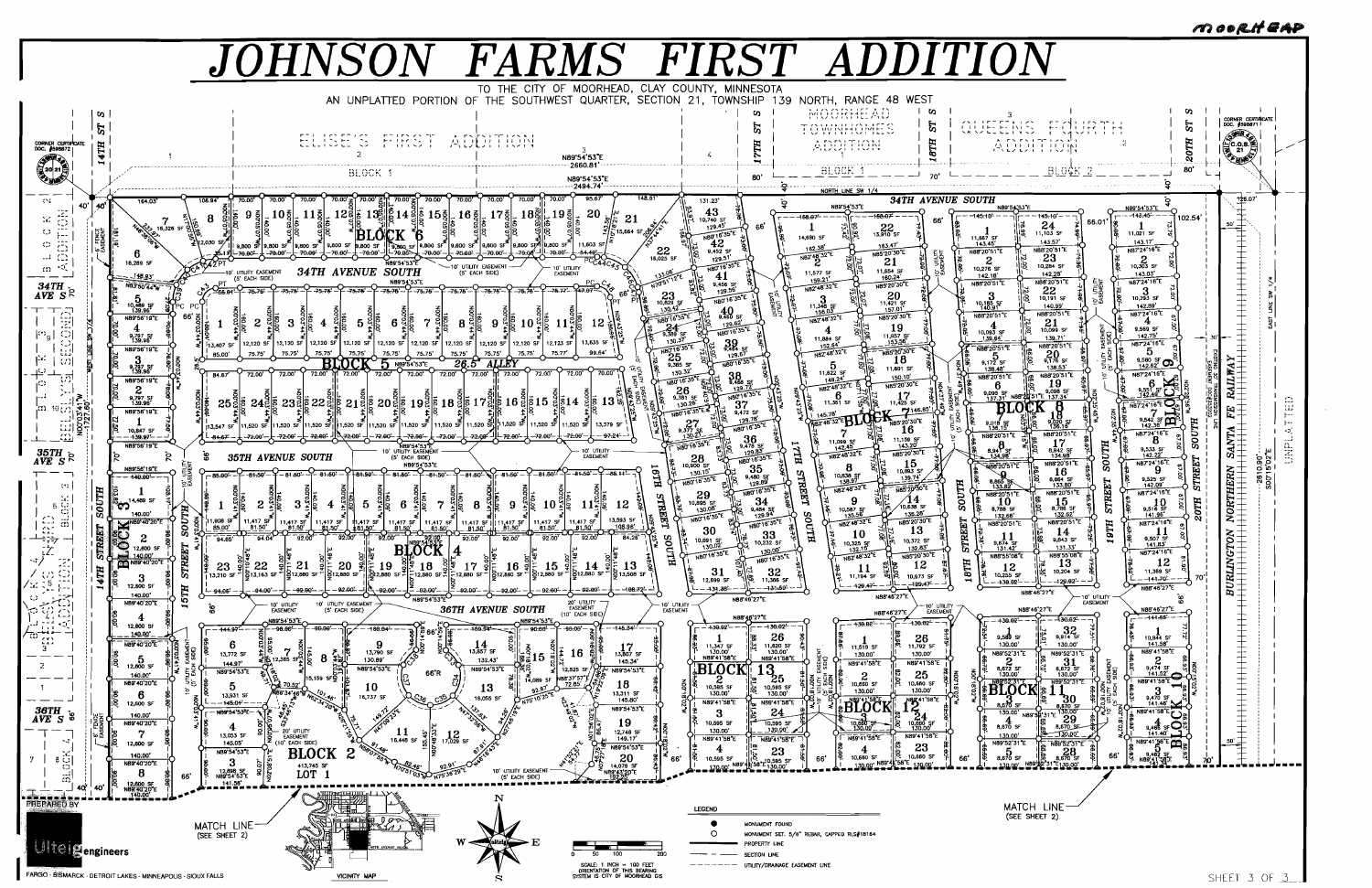